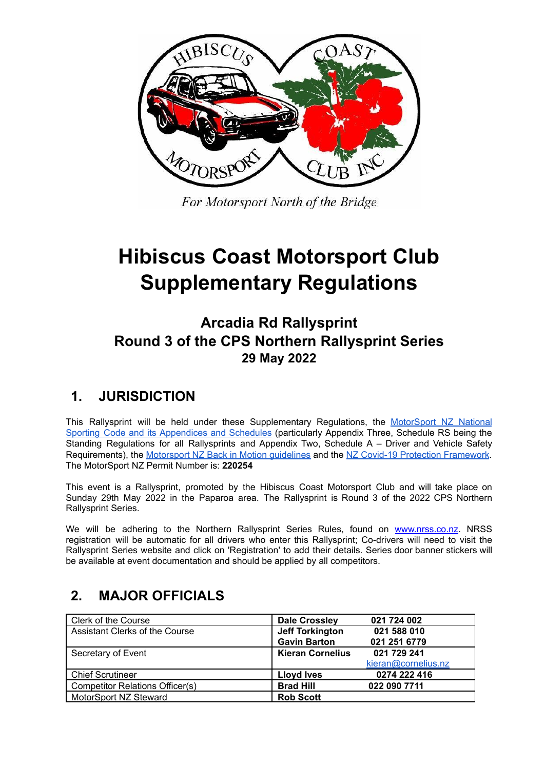

For Motorsport North of the Bridge

# **Hibiscus Coast Motorsport Club Supplementary Regulations**

**Arcadia Rd Rallysprint Round 3 of the CPS Northern Rallysprint Series 29 May 2022**

# **1. JURISDICTION**

This Rallysprint will be held under these Supplementary Regulations, the [MotorSport](http://manual.motorsport.org.nz/) NZ National Sporting Code and its [Appendices](http://manual.motorsport.org.nz/) and Schedules (particularly Appendix Three, Schedule RS being the Standing Regulations for all Rallysprints and Appendix Two, Schedule A – Driver and Vehicle Safety Requirements), the [Motorsport](https://www.motorsport.org.nz/wp-content/uploads/Back-in-Motion.pdf) NZ Back in Motion guidelines and the NZ Covid-19 Protection [Framework](https://covid19.govt.nz/traffic-lights/covid-19-protection-framework/). The MotorSport NZ Permit Number is: **220254**

This event is a Rallysprint, promoted by the Hibiscus Coast Motorsport Club and will take place on Sunday 29th May 2022 in the Paparoa area. The Rallysprint is Round 3 of the 2022 CPS Northern Rallysprint Series.

We will be adhering to the Northern Rallysprint Series Rules, found on [www.nrss.co.nz](http://www.nrss.co.nz). NRSS registration will be automatic for all drivers who enter this Rallysprint; Co-drivers will need to visit the Rallysprint Series website and click on 'Registration' to add their details. Series door banner stickers will be available at event documentation and should be applied by all competitors.

# **2. MAJOR OFFICIALS**

| Clerk of the Course                    | <b>Dale Crossley</b>    | 021 724 002         |
|----------------------------------------|-------------------------|---------------------|
| Assistant Clerks of the Course         | <b>Jeff Torkington</b>  | 021 588 010         |
|                                        | <b>Gavin Barton</b>     | 021 251 6779        |
| Secretary of Event                     | <b>Kieran Cornelius</b> | 021 729 241         |
|                                        |                         | kieran@cornelius.nz |
| <b>Chief Scrutineer</b>                | <b>Lloyd Ives</b>       | 0274 222 416        |
| <b>Competitor Relations Officer(s)</b> | <b>Brad Hill</b>        | 022 090 7711        |
| MotorSport NZ Steward                  | <b>Rob Scott</b>        |                     |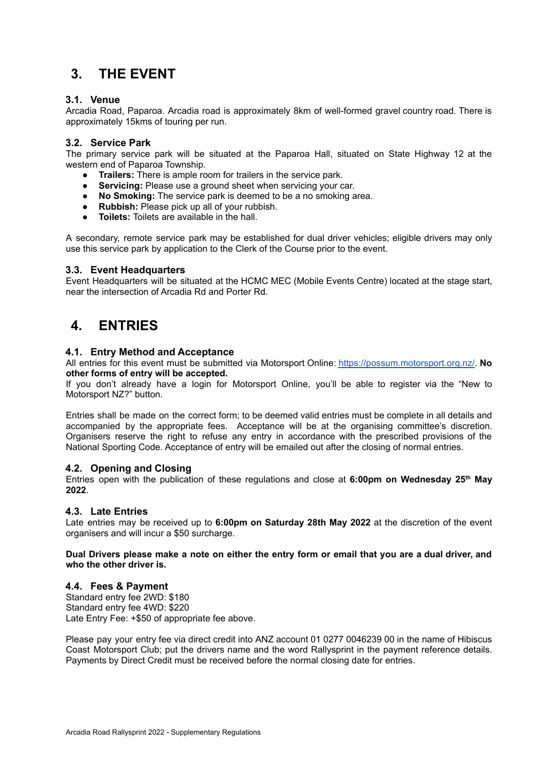# **3. THE EVENT**

#### **3.1. Venue**

Arcadia Road, Paparoa. Arcadia road is approximately 8km of well-formed gravel country road. There is approximately 15kms of touring per run.

#### **3.2. Service Park**

The primary service park will be situated at the Paparoa Hall, situated on State Highway 12 at the western end of Paparoa Township.

- **Trailers:** There is ample room for trailers in the service park.
- **Servicing:** Please use a ground sheet when servicing your car.
- **No Smoking:** The service park is deemed to be a no smoking area.
- **Rubbish:** Please pick up all of your rubbish.
- **Toilets:** Toilets are available in the hall.

A secondary, remote service park may be established for dual driver vehicles; eligible drivers may only use this service park by application to the Clerk of the Course prior to the event.

#### **3.3. Event Headquarters**

Event Headquarters will be situated at the HCMC MEC (Mobile Events Centre) located at the stage start, near the intersection of Arcadia Rd and Porter Rd.

### **4. ENTRIES**

#### **4.1. Entry Method and Acceptance**

All entries for this event must be submitted via Motorsport Online: <https://possum.motorsport.org.nz/>. **No other forms of entry will be accepted.**

If you don't already have a login for Motorsport Online, you'll be able to register via the "New to Motorsport NZ?" button.

Entries shall be made on the correct form; to be deemed valid entries must be complete in all details and accompanied by the appropriate fees. Acceptance will be at the organising committee's discretion. Organisers reserve the right to refuse any entry in accordance with the prescribed provisions of the National Sporting Code. Acceptance of entry will be emailed out after the closing of normal entries.

#### **4.2. Opening and Closing**

Entries open with the publication of these regulations and close at **6:00pm on Wednesday 25 th May 2022**.

#### **4.3. Late Entries**

Late entries may be received up to **6:00pm on Saturday 28th May 2022** at the discretion of the event organisers and will incur a \$50 surcharge.

Dual Drivers please make a note on either the entry form or email that you are a dual driver, and **who the other driver is.**

#### **4.4. Fees & Payment**

Standard entry fee 2WD: \$180 Standard entry fee 4WD: \$220 Late Entry Fee: +\$50 of appropriate fee above.

Please pay your entry fee via direct credit into ANZ account 01 0277 0046239 00 in the name of Hibiscus Coast Motorsport Club; put the drivers name and the word Rallysprint in the payment reference details. Payments by Direct Credit must be received before the normal closing date for entries.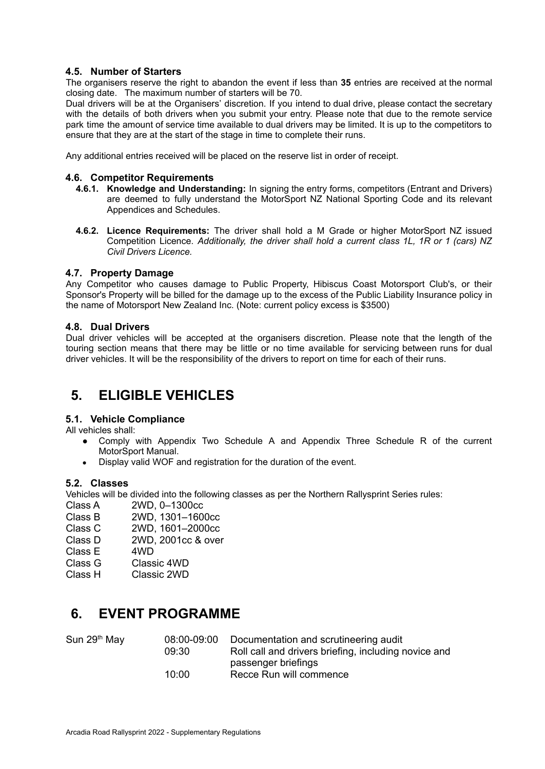#### **4.5. Number of Starters**

The organisers reserve the right to abandon the event if less than **35** entries are received at the normal closing date. The maximum number of starters will be 70.

Dual drivers will be at the Organisers' discretion. If you intend to dual drive, please contact the secretary with the details of both drivers when you submit your entry. Please note that due to the remote service park time the amount of service time available to dual drivers may be limited. It is up to the competitors to ensure that they are at the start of the stage in time to complete their runs.

Any additional entries received will be placed on the reserve list in order of receipt.

#### **4.6. Competitor Requirements**

- **4.6.1. Knowledge and Understanding:** In signing the entry forms, competitors (Entrant and Drivers) are deemed to fully understand the MotorSport NZ National Sporting Code and its relevant Appendices and Schedules.
- **4.6.2. Licence Requirements:** The driver shall hold a M Grade or higher MotorSport NZ issued Competition Licence. *Additionally, the driver shall hold a current class 1L, 1R or 1 (cars) NZ Civil Drivers Licence.*

#### **4.7. Property Damage**

Any Competitor who causes damage to Public Property, Hibiscus Coast Motorsport Club's, or their Sponsor's Property will be billed for the damage up to the excess of the Public Liability Insurance policy in the name of Motorsport New Zealand Inc. (Note: current policy excess is \$3500)

#### **4.8. Dual Drivers**

Dual driver vehicles will be accepted at the organisers discretion. Please note that the length of the touring section means that there may be little or no time available for servicing between runs for dual driver vehicles. It will be the responsibility of the drivers to report on time for each of their runs.

### **5. ELIGIBLE VEHICLES**

#### **5.1. Vehicle Compliance**

All vehicles shall:

- Comply with Appendix Two Schedule A and Appendix Three Schedule R of the current MotorSport Manual.
- Display valid WOF and registration for the duration of the event.

#### **5.2. Classes**

Vehicles will be divided into the following classes as per the Northern Rallysprint Series rules:

- Class A 2WD, 0–1300cc
- Class B 2WD, 1301–1600cc
- Class C 2WD, 1601–2000cc
- Class D 2WD, 2001cc & over
- Class E 4WD
- Class G Classic 4WD
- Class H Classic 2WD

### **6. EVENT PROGRAMME**

| Sun 29 <sup>th</sup> May | 08:00-09:00 | Documentation and scrutineering audit                |
|--------------------------|-------------|------------------------------------------------------|
|                          | 09:30       | Roll call and drivers briefing, including novice and |
|                          |             | passenger briefings                                  |
|                          | 10:00       | Recce Run will commence                              |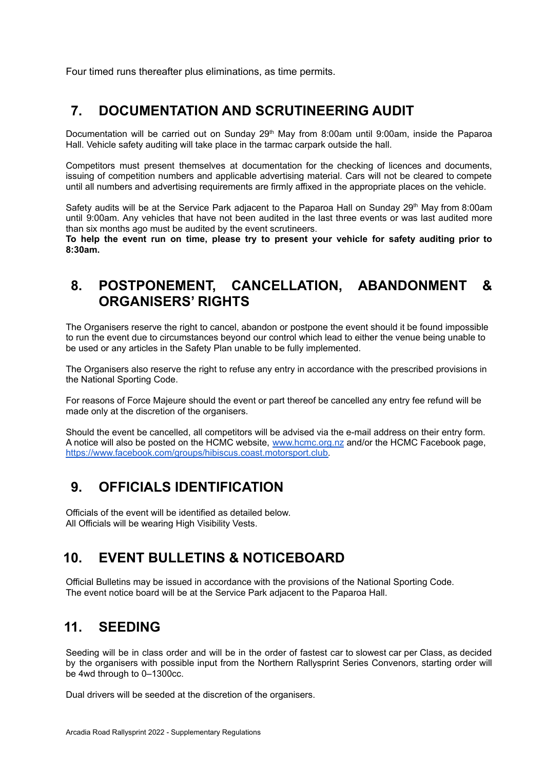Four timed runs thereafter plus eliminations, as time permits.

### **7. DOCUMENTATION AND SCRUTINEERING AUDIT**

Documentation will be carried out on Sunday 29<sup>th</sup> May from 8:00am until 9:00am, inside the Paparoa Hall. Vehicle safety auditing will take place in the tarmac carpark outside the hall.

Competitors must present themselves at documentation for the checking of licences and documents, issuing of competition numbers and applicable advertising material. Cars will not be cleared to compete until all numbers and advertising requirements are firmly affixed in the appropriate places on the vehicle.

Safety audits will be at the Service Park adjacent to the Paparoa Hall on Sunday 29<sup>th</sup> May from 8:00am until 9:00am. Any vehicles that have not been audited in the last three events or was last audited more than six months ago must be audited by the event scrutineers.

**To help the event run on time, please try to present your vehicle for safety auditing prior to 8:30am.**

### **8. POSTPONEMENT, CANCELLATION, ABANDONMENT & ORGANISERS' RIGHTS**

The Organisers reserve the right to cancel, abandon or postpone the event should it be found impossible to run the event due to circumstances beyond our control which lead to either the venue being unable to be used or any articles in the Safety Plan unable to be fully implemented.

The Organisers also reserve the right to refuse any entry in accordance with the prescribed provisions in the National Sporting Code.

For reasons of Force Majeure should the event or part thereof be cancelled any entry fee refund will be made only at the discretion of the organisers.

Should the event be cancelled, all competitors will be advised via the e-mail address on their entry form. A notice will also be posted on the HCMC website, [www.hcmc.org.nz](http://www.hcmc.org.nz) and/or the HCMC Facebook page, [https://www.facebook.com/groups/hibiscus.coast.motorsport.club.](https://www.facebook.com/groups/hibiscus.coast.motorsport.club)

### **9. OFFICIALS IDENTIFICATION**

Officials of the event will be identified as detailed below. All Officials will be wearing High Visibility Vests.

### **10. EVENT BULLETINS & NOTICEBOARD**

Official Bulletins may be issued in accordance with the provisions of the National Sporting Code. The event notice board will be at the Service Park adjacent to the Paparoa Hall.

### **11. SEEDING**

Seeding will be in class order and will be in the order of fastest car to slowest car per Class, as decided by the organisers with possible input from the Northern Rallysprint Series Convenors, starting order will be 4wd through to 0–1300cc.

Dual drivers will be seeded at the discretion of the organisers.